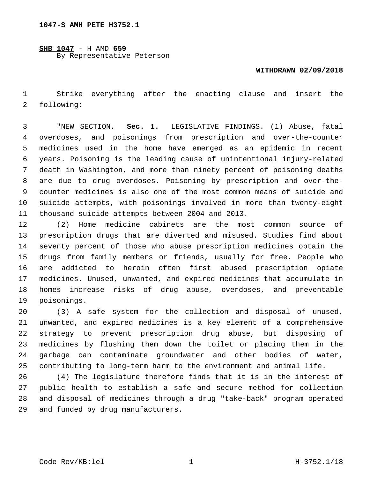**SHB 1047** - H AMD **659** By Representative Peterson

## **WITHDRAWN 02/09/2018**

 Strike everything after the enacting clause and insert the 2 following:

 "NEW SECTION. **Sec. 1.** LEGISLATIVE FINDINGS. (1) Abuse, fatal overdoses, and poisonings from prescription and over-the-counter medicines used in the home have emerged as an epidemic in recent years. Poisoning is the leading cause of unintentional injury-related death in Washington, and more than ninety percent of poisoning deaths are due to drug overdoses. Poisoning by prescription and over-the- counter medicines is also one of the most common means of suicide and suicide attempts, with poisonings involved in more than twenty-eight thousand suicide attempts between 2004 and 2013.

 (2) Home medicine cabinets are the most common source of prescription drugs that are diverted and misused. Studies find about seventy percent of those who abuse prescription medicines obtain the drugs from family members or friends, usually for free. People who are addicted to heroin often first abused prescription opiate medicines. Unused, unwanted, and expired medicines that accumulate in homes increase risks of drug abuse, overdoses, and preventable 19 poisonings.

 (3) A safe system for the collection and disposal of unused, unwanted, and expired medicines is a key element of a comprehensive strategy to prevent prescription drug abuse, but disposing of medicines by flushing them down the toilet or placing them in the garbage can contaminate groundwater and other bodies of water, contributing to long-term harm to the environment and animal life.

 (4) The legislature therefore finds that it is in the interest of public health to establish a safe and secure method for collection and disposal of medicines through a drug "take-back" program operated 29 and funded by drug manufacturers.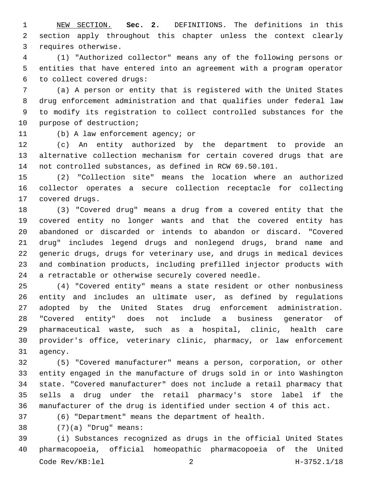NEW SECTION. **Sec. 2.** DEFINITIONS. The definitions in this section apply throughout this chapter unless the context clearly requires otherwise.

 (1) "Authorized collector" means any of the following persons or entities that have entered into an agreement with a program operator to collect covered drugs:6

 (a) A person or entity that is registered with the United States drug enforcement administration and that qualifies under federal law to modify its registration to collect controlled substances for the 10 purpose of destruction;

11 (b) A law enforcement agency; or

 (c) An entity authorized by the department to provide an alternative collection mechanism for certain covered drugs that are not controlled substances, as defined in RCW 69.50.101.

 (2) "Collection site" means the location where an authorized collector operates a secure collection receptacle for collecting 17 covered drugs.

 (3) "Covered drug" means a drug from a covered entity that the covered entity no longer wants and that the covered entity has abandoned or discarded or intends to abandon or discard. "Covered drug" includes legend drugs and nonlegend drugs, brand name and generic drugs, drugs for veterinary use, and drugs in medical devices and combination products, including prefilled injector products with a retractable or otherwise securely covered needle.

 (4) "Covered entity" means a state resident or other nonbusiness entity and includes an ultimate user, as defined by regulations adopted by the United States drug enforcement administration. "Covered entity" does not include a business generator of pharmaceutical waste, such as a hospital, clinic, health care provider's office, veterinary clinic, pharmacy, or law enforcement 31 agency.

 (5) "Covered manufacturer" means a person, corporation, or other entity engaged in the manufacture of drugs sold in or into Washington state. "Covered manufacturer" does not include a retail pharmacy that sells a drug under the retail pharmacy's store label if the manufacturer of the drug is identified under section 4 of this act.

(6) "Department" means the department of health.

(7)(a) "Drug" means:38

 (i) Substances recognized as drugs in the official United States pharmacopoeia, official homeopathic pharmacopoeia of the United Code Rev/KB:lel 2 H-3752.1/18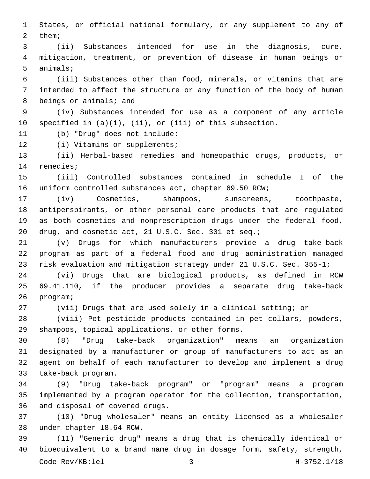States, or official national formulary, or any supplement to any of 2 them; (ii) Substances intended for use in the diagnosis, cure, mitigation, treatment, or prevention of disease in human beings or 5 animals; (iii) Substances other than food, minerals, or vitamins that are intended to affect the structure or any function of the body of human 8 beings or animals; and (iv) Substances intended for use as a component of any article specified in (a)(i), (ii), or (iii) of this subsection. 11 (b) "Drug" does not include: 12 (i) Vitamins or supplements; (ii) Herbal-based remedies and homeopathic drugs, products, or 14 remedies; (iii) Controlled substances contained in schedule I of the uniform controlled substances act, chapter 69.50 RCW; (iv) Cosmetics, shampoos, sunscreens, toothpaste, antiperspirants, or other personal care products that are regulated as both cosmetics and nonprescription drugs under the federal food, drug, and cosmetic act, 21 U.S.C. Sec. 301 et seq.; (v) Drugs for which manufacturers provide a drug take-back program as part of a federal food and drug administration managed risk evaluation and mitigation strategy under 21 U.S.C. Sec. 355-1; (vi) Drugs that are biological products, as defined in RCW 69.41.110, if the producer provides a separate drug take-back 26 program; (vii) Drugs that are used solely in a clinical setting; or (viii) Pet pesticide products contained in pet collars, powders, 29 shampoos, topical applications, or other forms. (8) "Drug take-back organization" means an organization designated by a manufacturer or group of manufacturers to act as an agent on behalf of each manufacturer to develop and implement a drug 33 take-back program. (9) "Drug take-back program" or "program" means a program implemented by a program operator for the collection, transportation, 36 and disposal of covered drugs. (10) "Drug wholesaler" means an entity licensed as a wholesaler 38 under chapter 18.64 RCW. (11) "Generic drug" means a drug that is chemically identical or

 bioequivalent to a brand name drug in dosage form, safety, strength, Code Rev/KB:lel 3 H-3752.1/18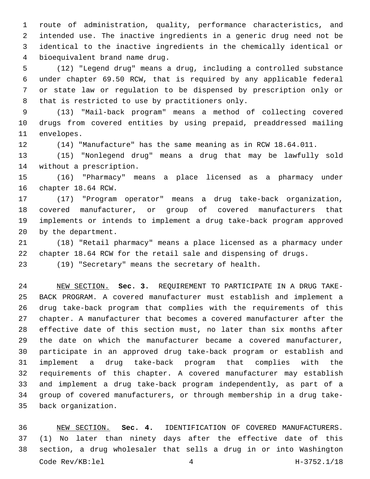route of administration, quality, performance characteristics, and intended use. The inactive ingredients in a generic drug need not be identical to the inactive ingredients in the chemically identical or bioequivalent brand name drug.4

 (12) "Legend drug" means a drug, including a controlled substance under chapter 69.50 RCW, that is required by any applicable federal or state law or regulation to be dispensed by prescription only or 8 that is restricted to use by practitioners only.

 (13) "Mail-back program" means a method of collecting covered drugs from covered entities by using prepaid, preaddressed mailing 11 envelopes.

(14) "Manufacture" has the same meaning as in RCW 18.64.011.

 (15) "Nonlegend drug" means a drug that may be lawfully sold 14 without a prescription.

 (16) "Pharmacy" means a place licensed as a pharmacy under 16 chapter 18.64 RCW.

 (17) "Program operator" means a drug take-back organization, covered manufacturer, or group of covered manufacturers that implements or intends to implement a drug take-back program approved 20 by the department.

 (18) "Retail pharmacy" means a place licensed as a pharmacy under chapter 18.64 RCW for the retail sale and dispensing of drugs.

(19) "Secretary" means the secretary of health.

 NEW SECTION. **Sec. 3.** REQUIREMENT TO PARTICIPATE IN A DRUG TAKE- BACK PROGRAM. A covered manufacturer must establish and implement a drug take-back program that complies with the requirements of this chapter. A manufacturer that becomes a covered manufacturer after the effective date of this section must, no later than six months after the date on which the manufacturer became a covered manufacturer, participate in an approved drug take-back program or establish and implement a drug take-back program that complies with the requirements of this chapter. A covered manufacturer may establish and implement a drug take-back program independently, as part of a group of covered manufacturers, or through membership in a drug take-back organization.

 NEW SECTION. **Sec. 4.** IDENTIFICATION OF COVERED MANUFACTURERS. (1) No later than ninety days after the effective date of this section, a drug wholesaler that sells a drug in or into Washington Code Rev/KB:lel 4 H-3752.1/18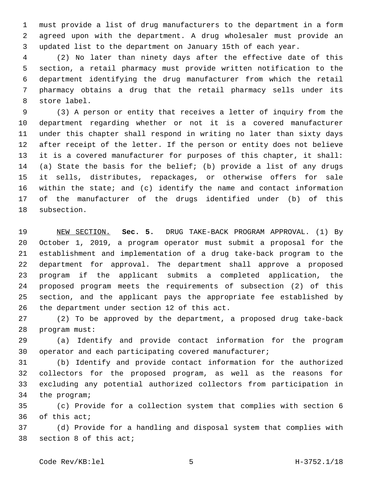must provide a list of drug manufacturers to the department in a form agreed upon with the department. A drug wholesaler must provide an updated list to the department on January 15th of each year.

 (2) No later than ninety days after the effective date of this section, a retail pharmacy must provide written notification to the department identifying the drug manufacturer from which the retail pharmacy obtains a drug that the retail pharmacy sells under its 8 store label.

 (3) A person or entity that receives a letter of inquiry from the department regarding whether or not it is a covered manufacturer under this chapter shall respond in writing no later than sixty days after receipt of the letter. If the person or entity does not believe it is a covered manufacturer for purposes of this chapter, it shall: (a) State the basis for the belief; (b) provide a list of any drugs it sells, distributes, repackages, or otherwise offers for sale within the state; and (c) identify the name and contact information of the manufacturer of the drugs identified under (b) of this 18 subsection.

 NEW SECTION. **Sec. 5.** DRUG TAKE-BACK PROGRAM APPROVAL. (1) By October 1, 2019, a program operator must submit a proposal for the establishment and implementation of a drug take-back program to the department for approval. The department shall approve a proposed program if the applicant submits a completed application, the proposed program meets the requirements of subsection (2) of this section, and the applicant pays the appropriate fee established by the department under section 12 of this act.

 (2) To be approved by the department, a proposed drug take-back 28 program must:

 (a) Identify and provide contact information for the program operator and each participating covered manufacturer;

 (b) Identify and provide contact information for the authorized collectors for the proposed program, as well as the reasons for excluding any potential authorized collectors from participation in 34 the program;

 (c) Provide for a collection system that complies with section 6 36 of this act;

 (d) Provide for a handling and disposal system that complies with 38 section 8 of this act;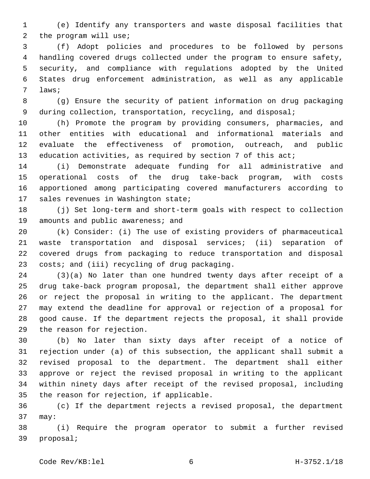(e) Identify any transporters and waste disposal facilities that 2 the program will use;

 (f) Adopt policies and procedures to be followed by persons handling covered drugs collected under the program to ensure safety, security, and compliance with regulations adopted by the United States drug enforcement administration, as well as any applicable 7 laws;

 (g) Ensure the security of patient information on drug packaging during collection, transportation, recycling, and disposal;

 (h) Promote the program by providing consumers, pharmacies, and other entities with educational and informational materials and evaluate the effectiveness of promotion, outreach, and public 13 education activities, as required by section 7 of this act;

 (i) Demonstrate adequate funding for all administrative and operational costs of the drug take-back program, with costs apportioned among participating covered manufacturers according to 17 sales revenues in Washington state;

 (j) Set long-term and short-term goals with respect to collection 19 amounts and public awareness; and

 (k) Consider: (i) The use of existing providers of pharmaceutical waste transportation and disposal services; (ii) separation of covered drugs from packaging to reduce transportation and disposal 23 costs; and (iii) recycling of drug packaging.

 (3)(a) No later than one hundred twenty days after receipt of a drug take-back program proposal, the department shall either approve or reject the proposal in writing to the applicant. The department may extend the deadline for approval or rejection of a proposal for good cause. If the department rejects the proposal, it shall provide 29 the reason for rejection.

 (b) No later than sixty days after receipt of a notice of rejection under (a) of this subsection, the applicant shall submit a revised proposal to the department. The department shall either approve or reject the revised proposal in writing to the applicant within ninety days after receipt of the revised proposal, including 35 the reason for rejection, if applicable.

 (c) If the department rejects a revised proposal, the department may:

 (i) Require the program operator to submit a further revised 39 proposal;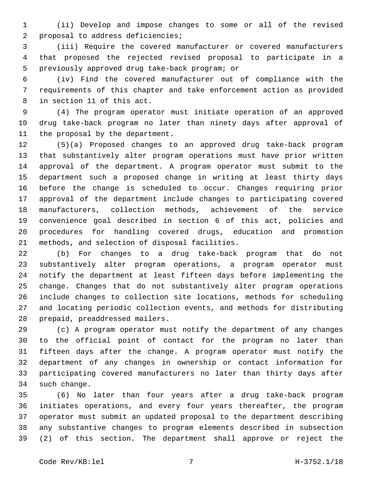(ii) Develop and impose changes to some or all of the revised 2 proposal to address deficiencies;

 (iii) Require the covered manufacturer or covered manufacturers that proposed the rejected revised proposal to participate in a 5 previously approved drug take-back program; or

 (iv) Find the covered manufacturer out of compliance with the requirements of this chapter and take enforcement action as provided 8 in section 11 of this act.

 (4) The program operator must initiate operation of an approved drug take-back program no later than ninety days after approval of 11 the proposal by the department.

 (5)(a) Proposed changes to an approved drug take-back program that substantively alter program operations must have prior written approval of the department. A program operator must submit to the department such a proposed change in writing at least thirty days before the change is scheduled to occur. Changes requiring prior approval of the department include changes to participating covered manufacturers, collection methods, achievement of the service convenience goal described in section 6 of this act, policies and procedures for handling covered drugs, education and promotion 21 methods, and selection of disposal facilities.

 (b) For changes to a drug take-back program that do not substantively alter program operations, a program operator must notify the department at least fifteen days before implementing the change. Changes that do not substantively alter program operations include changes to collection site locations, methods for scheduling and locating periodic collection events, and methods for distributing 28 prepaid, preaddressed mailers.

 (c) A program operator must notify the department of any changes to the official point of contact for the program no later than fifteen days after the change. A program operator must notify the department of any changes in ownership or contact information for participating covered manufacturers no later than thirty days after 34 such change.

 (6) No later than four years after a drug take-back program initiates operations, and every four years thereafter, the program operator must submit an updated proposal to the department describing any substantive changes to program elements described in subsection (2) of this section. The department shall approve or reject the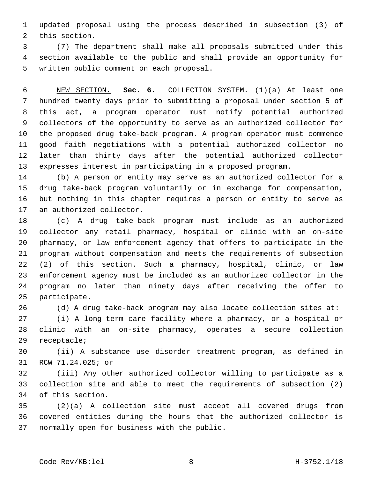updated proposal using the process described in subsection (3) of 2 this section.

 (7) The department shall make all proposals submitted under this section available to the public and shall provide an opportunity for 5 written public comment on each proposal.

 NEW SECTION. **Sec. 6.** COLLECTION SYSTEM. (1)(a) At least one hundred twenty days prior to submitting a proposal under section 5 of this act, a program operator must notify potential authorized collectors of the opportunity to serve as an authorized collector for the proposed drug take-back program. A program operator must commence good faith negotiations with a potential authorized collector no later than thirty days after the potential authorized collector expresses interest in participating in a proposed program.

 (b) A person or entity may serve as an authorized collector for a drug take-back program voluntarily or in exchange for compensation, but nothing in this chapter requires a person or entity to serve as 17 an authorized collector.

 (c) A drug take-back program must include as an authorized collector any retail pharmacy, hospital or clinic with an on-site pharmacy, or law enforcement agency that offers to participate in the program without compensation and meets the requirements of subsection (2) of this section. Such a pharmacy, hospital, clinic, or law enforcement agency must be included as an authorized collector in the program no later than ninety days after receiving the offer to 25 participate.

(d) A drug take-back program may also locate collection sites at:

 (i) A long-term care facility where a pharmacy, or a hospital or clinic with an on-site pharmacy, operates a secure collection 29 receptacle;

 (ii) A substance use disorder treatment program, as defined in 31 RCW 71.24.025; or

 (iii) Any other authorized collector willing to participate as a collection site and able to meet the requirements of subsection (2) 34 of this section.

 (2)(a) A collection site must accept all covered drugs from covered entities during the hours that the authorized collector is 37 normally open for business with the public.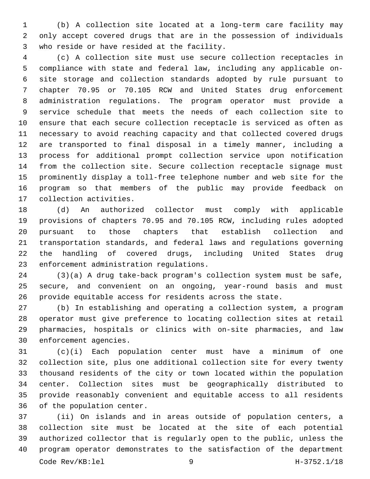(b) A collection site located at a long-term care facility may only accept covered drugs that are in the possession of individuals 3 who reside or have resided at the facility.

 (c) A collection site must use secure collection receptacles in compliance with state and federal law, including any applicable on- site storage and collection standards adopted by rule pursuant to chapter 70.95 or 70.105 RCW and United States drug enforcement administration regulations. The program operator must provide a service schedule that meets the needs of each collection site to ensure that each secure collection receptacle is serviced as often as necessary to avoid reaching capacity and that collected covered drugs are transported to final disposal in a timely manner, including a process for additional prompt collection service upon notification from the collection site. Secure collection receptacle signage must prominently display a toll-free telephone number and web site for the program so that members of the public may provide feedback on 17 collection activities.

 (d) An authorized collector must comply with applicable provisions of chapters 70.95 and 70.105 RCW, including rules adopted pursuant to those chapters that establish collection and transportation standards, and federal laws and regulations governing the handling of covered drugs, including United States drug 23 enforcement administration regulations.

 (3)(a) A drug take-back program's collection system must be safe, secure, and convenient on an ongoing, year-round basis and must provide equitable access for residents across the state.

 (b) In establishing and operating a collection system, a program operator must give preference to locating collection sites at retail pharmacies, hospitals or clinics with on-site pharmacies, and law 30 enforcement agencies.

 (c)(i) Each population center must have a minimum of one collection site, plus one additional collection site for every twenty thousand residents of the city or town located within the population center. Collection sites must be geographically distributed to provide reasonably convenient and equitable access to all residents 36 of the population center.

 (ii) On islands and in areas outside of population centers, a collection site must be located at the site of each potential authorized collector that is regularly open to the public, unless the program operator demonstrates to the satisfaction of the department Code Rev/KB:lel 9 H-3752.1/18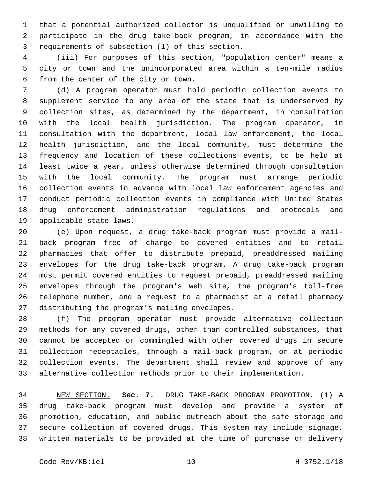that a potential authorized collector is unqualified or unwilling to participate in the drug take-back program, in accordance with the 3 requirements of subsection (1) of this section.

 (iii) For purposes of this section, "population center" means a city or town and the unincorporated area within a ten-mile radius 6 from the center of the city or town.

 (d) A program operator must hold periodic collection events to supplement service to any area of the state that is underserved by collection sites, as determined by the department, in consultation with the local health jurisdiction. The program operator, in consultation with the department, local law enforcement, the local health jurisdiction, and the local community, must determine the frequency and location of these collections events, to be held at least twice a year, unless otherwise determined through consultation with the local community. The program must arrange periodic collection events in advance with local law enforcement agencies and conduct periodic collection events in compliance with United States drug enforcement administration regulations and protocols and 19 applicable state laws.

 (e) Upon request, a drug take-back program must provide a mail- back program free of charge to covered entities and to retail pharmacies that offer to distribute prepaid, preaddressed mailing envelopes for the drug take-back program. A drug take-back program must permit covered entities to request prepaid, preaddressed mailing envelopes through the program's web site, the program's toll-free telephone number, and a request to a pharmacist at a retail pharmacy 27 distributing the program's mailing envelopes.

 (f) The program operator must provide alternative collection methods for any covered drugs, other than controlled substances, that cannot be accepted or commingled with other covered drugs in secure collection receptacles, through a mail-back program, or at periodic collection events. The department shall review and approve of any alternative collection methods prior to their implementation.

 NEW SECTION. **Sec. 7.** DRUG TAKE-BACK PROGRAM PROMOTION. (1) A drug take-back program must develop and provide a system of promotion, education, and public outreach about the safe storage and secure collection of covered drugs. This system may include signage, written materials to be provided at the time of purchase or delivery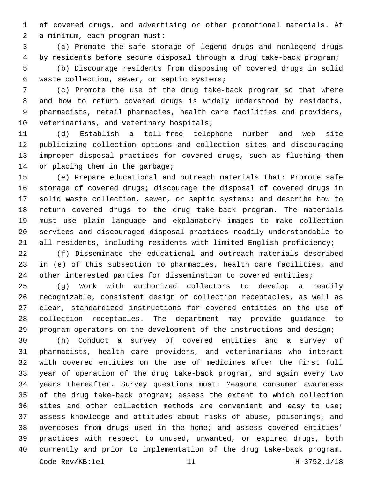of covered drugs, and advertising or other promotional materials. At 2 a minimum, each program must:

 (a) Promote the safe storage of legend drugs and nonlegend drugs by residents before secure disposal through a drug take-back program;

 (b) Discourage residents from disposing of covered drugs in solid 6 waste collection, sewer, or septic systems;

 (c) Promote the use of the drug take-back program so that where and how to return covered drugs is widely understood by residents, pharmacists, retail pharmacies, health care facilities and providers, 10 veterinarians, and veterinary hospitals;

 (d) Establish a toll-free telephone number and web site publicizing collection options and collection sites and discouraging improper disposal practices for covered drugs, such as flushing them 14 or placing them in the garbage;

 (e) Prepare educational and outreach materials that: Promote safe storage of covered drugs; discourage the disposal of covered drugs in solid waste collection, sewer, or septic systems; and describe how to return covered drugs to the drug take-back program. The materials must use plain language and explanatory images to make collection services and discouraged disposal practices readily understandable to 21 all residents, including residents with limited English proficiency;

 (f) Disseminate the educational and outreach materials described in (e) of this subsection to pharmacies, health care facilities, and 24 other interested parties for dissemination to covered entities;

 (g) Work with authorized collectors to develop a readily recognizable, consistent design of collection receptacles, as well as clear, standardized instructions for covered entities on the use of collection receptacles. The department may provide guidance to program operators on the development of the instructions and design;

 (h) Conduct a survey of covered entities and a survey of pharmacists, health care providers, and veterinarians who interact with covered entities on the use of medicines after the first full year of operation of the drug take-back program, and again every two years thereafter. Survey questions must: Measure consumer awareness of the drug take-back program; assess the extent to which collection sites and other collection methods are convenient and easy to use; assess knowledge and attitudes about risks of abuse, poisonings, and overdoses from drugs used in the home; and assess covered entities' practices with respect to unused, unwanted, or expired drugs, both currently and prior to implementation of the drug take-back program. Code Rev/KB:lel 11 H-3752.1/18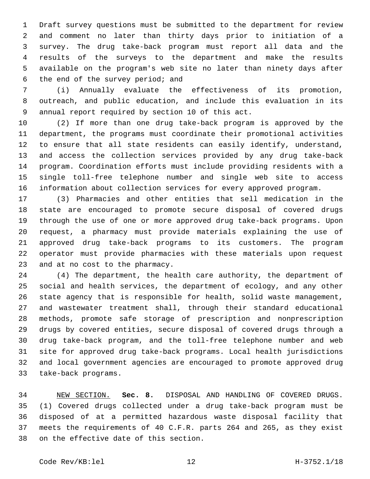Draft survey questions must be submitted to the department for review and comment no later than thirty days prior to initiation of a survey. The drug take-back program must report all data and the results of the surveys to the department and make the results available on the program's web site no later than ninety days after 6 the end of the survey period; and

 (i) Annually evaluate the effectiveness of its promotion, outreach, and public education, and include this evaluation in its 9 annual report required by section 10 of this act.

 (2) If more than one drug take-back program is approved by the department, the programs must coordinate their promotional activities to ensure that all state residents can easily identify, understand, and access the collection services provided by any drug take-back program. Coordination efforts must include providing residents with a single toll-free telephone number and single web site to access information about collection services for every approved program.

 (3) Pharmacies and other entities that sell medication in the state are encouraged to promote secure disposal of covered drugs through the use of one or more approved drug take-back programs. Upon request, a pharmacy must provide materials explaining the use of approved drug take-back programs to its customers. The program operator must provide pharmacies with these materials upon request 23 and at no cost to the pharmacy.

 (4) The department, the health care authority, the department of social and health services, the department of ecology, and any other state agency that is responsible for health, solid waste management, and wastewater treatment shall, through their standard educational methods, promote safe storage of prescription and nonprescription drugs by covered entities, secure disposal of covered drugs through a drug take-back program, and the toll-free telephone number and web site for approved drug take-back programs. Local health jurisdictions and local government agencies are encouraged to promote approved drug 33 take-back programs.

 NEW SECTION. **Sec. 8.** DISPOSAL AND HANDLING OF COVERED DRUGS. (1) Covered drugs collected under a drug take-back program must be disposed of at a permitted hazardous waste disposal facility that meets the requirements of 40 C.F.R. parts 264 and 265, as they exist on the effective date of this section.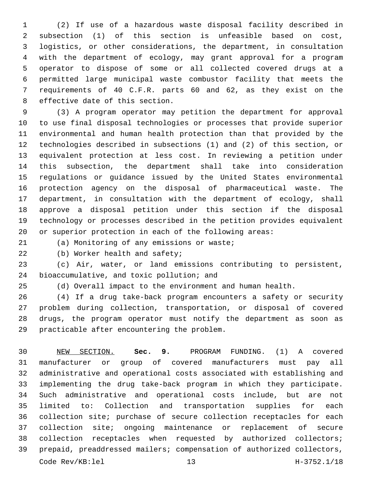(2) If use of a hazardous waste disposal facility described in subsection (1) of this section is unfeasible based on cost, logistics, or other considerations, the department, in consultation with the department of ecology, may grant approval for a program operator to dispose of some or all collected covered drugs at a permitted large municipal waste combustor facility that meets the requirements of 40 C.F.R. parts 60 and 62, as they exist on the 8 effective date of this section.

 (3) A program operator may petition the department for approval to use final disposal technologies or processes that provide superior environmental and human health protection than that provided by the technologies described in subsections (1) and (2) of this section, or equivalent protection at less cost. In reviewing a petition under this subsection, the department shall take into consideration regulations or guidance issued by the United States environmental protection agency on the disposal of pharmaceutical waste. The department, in consultation with the department of ecology, shall approve a disposal petition under this section if the disposal technology or processes described in the petition provides equivalent or superior protection in each of the following areas:

(a) Monitoring of any emissions or waste;

22 (b) Worker health and safety;

 (c) Air, water, or land emissions contributing to persistent, 24 bioaccumulative, and toxic pollution; and

(d) Overall impact to the environment and human health.

 (4) If a drug take-back program encounters a safety or security problem during collection, transportation, or disposal of covered drugs, the program operator must notify the department as soon as 29 practicable after encountering the problem.

 NEW SECTION. **Sec. 9.** PROGRAM FUNDING. (1) A covered manufacturer or group of covered manufacturers must pay all administrative and operational costs associated with establishing and implementing the drug take-back program in which they participate. Such administrative and operational costs include, but are not limited to: Collection and transportation supplies for each collection site; purchase of secure collection receptacles for each collection site; ongoing maintenance or replacement of secure collection receptacles when requested by authorized collectors; prepaid, preaddressed mailers; compensation of authorized collectors, Code Rev/KB:lel 13 H-3752.1/18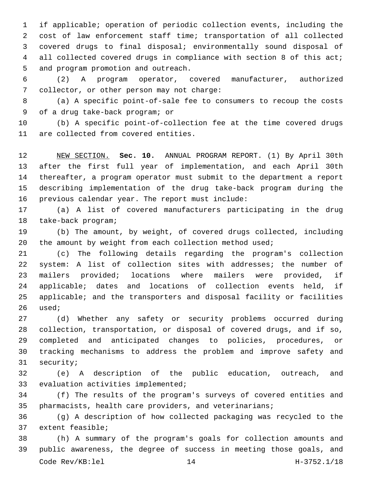if applicable; operation of periodic collection events, including the cost of law enforcement staff time; transportation of all collected covered drugs to final disposal; environmentally sound disposal of all collected covered drugs in compliance with section 8 of this act; 5 and program promotion and outreach.

 (2) A program operator, covered manufacturer, authorized 7 collector, or other person may not charge:

 (a) A specific point-of-sale fee to consumers to recoup the costs 9 of a drug take-back program; or

 (b) A specific point-of-collection fee at the time covered drugs 11 are collected from covered entities.

 NEW SECTION. **Sec. 10.** ANNUAL PROGRAM REPORT. (1) By April 30th after the first full year of implementation, and each April 30th thereafter, a program operator must submit to the department a report describing implementation of the drug take-back program during the previous calendar year. The report must include:

 (a) A list of covered manufacturers participating in the drug 18 take-back program;

 (b) The amount, by weight, of covered drugs collected, including 20 the amount by weight from each collection method used;

 (c) The following details regarding the program's collection system: A list of collection sites with addresses; the number of mailers provided; locations where mailers were provided, if applicable; dates and locations of collection events held, if applicable; and the transporters and disposal facility or facilities 26 used;

 (d) Whether any safety or security problems occurred during collection, transportation, or disposal of covered drugs, and if so, completed and anticipated changes to policies, procedures, or tracking mechanisms to address the problem and improve safety and 31 security;

 (e) A description of the public education, outreach, and 33 evaluation activities implemented;

 (f) The results of the program's surveys of covered entities and pharmacists, health care providers, and veterinarians;

 (g) A description of how collected packaging was recycled to the 37 extent feasible;

 (h) A summary of the program's goals for collection amounts and public awareness, the degree of success in meeting those goals, and Code Rev/KB:lel 14 H-3752.1/18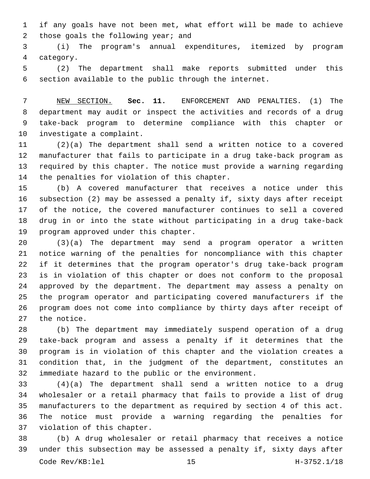if any goals have not been met, what effort will be made to achieve 2 those goals the following year; and

 (i) The program's annual expenditures, itemized by program 4 category.

 (2) The department shall make reports submitted under this section available to the public through the internet.

 NEW SECTION. **Sec. 11.** ENFORCEMENT AND PENALTIES. (1) The department may audit or inspect the activities and records of a drug take-back program to determine compliance with this chapter or investigate a complaint.

 (2)(a) The department shall send a written notice to a covered manufacturer that fails to participate in a drug take-back program as required by this chapter. The notice must provide a warning regarding 14 the penalties for violation of this chapter.

 (b) A covered manufacturer that receives a notice under this subsection (2) may be assessed a penalty if, sixty days after receipt of the notice, the covered manufacturer continues to sell a covered drug in or into the state without participating in a drug take-back 19 program approved under this chapter.

 (3)(a) The department may send a program operator a written notice warning of the penalties for noncompliance with this chapter if it determines that the program operator's drug take-back program is in violation of this chapter or does not conform to the proposal approved by the department. The department may assess a penalty on the program operator and participating covered manufacturers if the program does not come into compliance by thirty days after receipt of 27 the notice.

 (b) The department may immediately suspend operation of a drug take-back program and assess a penalty if it determines that the program is in violation of this chapter and the violation creates a condition that, in the judgment of the department, constitutes an immediate hazard to the public or the environment.

 (4)(a) The department shall send a written notice to a drug wholesaler or a retail pharmacy that fails to provide a list of drug manufacturers to the department as required by section 4 of this act. The notice must provide a warning regarding the penalties for 37 violation of this chapter.

 (b) A drug wholesaler or retail pharmacy that receives a notice under this subsection may be assessed a penalty if, sixty days after Code Rev/KB:lel 15 H-3752.1/18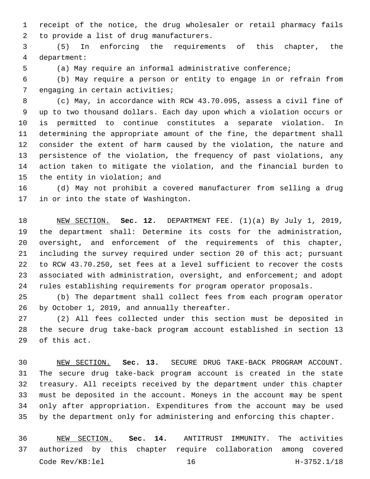receipt of the notice, the drug wholesaler or retail pharmacy fails 2 to provide a list of drug manufacturers.

 (5) In enforcing the requirements of this chapter, the department:4

(a) May require an informal administrative conference;

 (b) May require a person or entity to engage in or refrain from 7 engaging in certain activities;

 (c) May, in accordance with RCW 43.70.095, assess a civil fine of up to two thousand dollars. Each day upon which a violation occurs or is permitted to continue constitutes a separate violation. In determining the appropriate amount of the fine, the department shall consider the extent of harm caused by the violation, the nature and persistence of the violation, the frequency of past violations, any action taken to mitigate the violation, and the financial burden to 15 the entity in violation; and

 (d) May not prohibit a covered manufacturer from selling a drug 17 in or into the state of Washington.

 NEW SECTION. **Sec. 12.** DEPARTMENT FEE. (1)(a) By July 1, 2019, the department shall: Determine its costs for the administration, oversight, and enforcement of the requirements of this chapter, including the survey required under section 20 of this act; pursuant to RCW 43.70.250, set fees at a level sufficient to recover the costs associated with administration, oversight, and enforcement; and adopt rules establishing requirements for program operator proposals.

 (b) The department shall collect fees from each program operator 26 by October 1, 2019, and annually thereafter.

 (2) All fees collected under this section must be deposited in the secure drug take-back program account established in section 13 29 of this act.

 NEW SECTION. **Sec. 13.** SECURE DRUG TAKE-BACK PROGRAM ACCOUNT. The secure drug take-back program account is created in the state treasury. All receipts received by the department under this chapter must be deposited in the account. Moneys in the account may be spent only after appropriation. Expenditures from the account may be used by the department only for administering and enforcing this chapter.

 NEW SECTION. **Sec. 14.** ANTITRUST IMMUNITY. The activities authorized by this chapter require collaboration among covered Code Rev/KB:lel 16 H-3752.1/18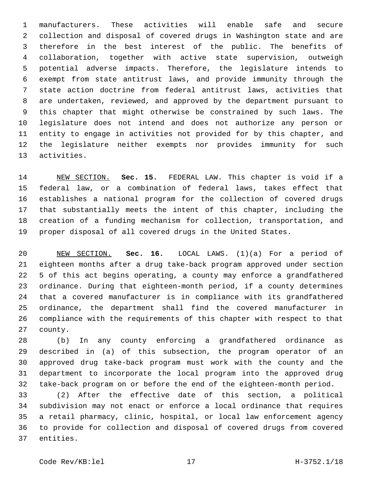manufacturers. These activities will enable safe and secure collection and disposal of covered drugs in Washington state and are therefore in the best interest of the public. The benefits of collaboration, together with active state supervision, outweigh potential adverse impacts. Therefore, the legislature intends to exempt from state antitrust laws, and provide immunity through the state action doctrine from federal antitrust laws, activities that are undertaken, reviewed, and approved by the department pursuant to this chapter that might otherwise be constrained by such laws. The legislature does not intend and does not authorize any person or entity to engage in activities not provided for by this chapter, and the legislature neither exempts nor provides immunity for such 13 activities.

 NEW SECTION. **Sec. 15.** FEDERAL LAW. This chapter is void if a federal law, or a combination of federal laws, takes effect that establishes a national program for the collection of covered drugs that substantially meets the intent of this chapter, including the creation of a funding mechanism for collection, transportation, and proper disposal of all covered drugs in the United States.

 NEW SECTION. **Sec. 16.** LOCAL LAWS. (1)(a) For a period of eighteen months after a drug take-back program approved under section 5 of this act begins operating, a county may enforce a grandfathered ordinance. During that eighteen-month period, if a county determines that a covered manufacturer is in compliance with its grandfathered ordinance, the department shall find the covered manufacturer in compliance with the requirements of this chapter with respect to that county.

 (b) In any county enforcing a grandfathered ordinance as described in (a) of this subsection, the program operator of an approved drug take-back program must work with the county and the department to incorporate the local program into the approved drug take-back program on or before the end of the eighteen-month period.

 (2) After the effective date of this section, a political subdivision may not enact or enforce a local ordinance that requires a retail pharmacy, clinic, hospital, or local law enforcement agency to provide for collection and disposal of covered drugs from covered 37 entities.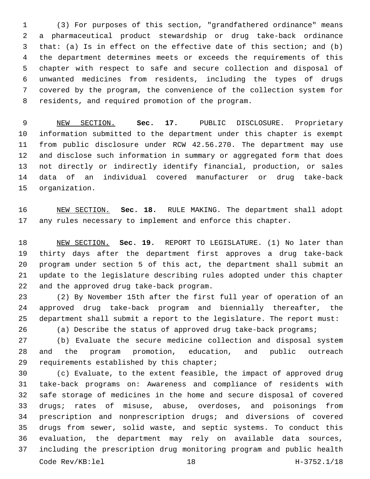(3) For purposes of this section, "grandfathered ordinance" means a pharmaceutical product stewardship or drug take-back ordinance that: (a) Is in effect on the effective date of this section; and (b) the department determines meets or exceeds the requirements of this chapter with respect to safe and secure collection and disposal of unwanted medicines from residents, including the types of drugs covered by the program, the convenience of the collection system for 8 residents, and required promotion of the program.

 NEW SECTION. **Sec. 17.** PUBLIC DISCLOSURE. Proprietary information submitted to the department under this chapter is exempt from public disclosure under RCW 42.56.270. The department may use and disclose such information in summary or aggregated form that does not directly or indirectly identify financial, production, or sales data of an individual covered manufacturer or drug take-back organization.

 NEW SECTION. **Sec. 18.** RULE MAKING. The department shall adopt any rules necessary to implement and enforce this chapter.

 NEW SECTION. **Sec. 19.** REPORT TO LEGISLATURE. (1) No later than thirty days after the department first approves a drug take-back program under section 5 of this act, the department shall submit an update to the legislature describing rules adopted under this chapter and the approved drug take-back program.

 (2) By November 15th after the first full year of operation of an approved drug take-back program and biennially thereafter, the department shall submit a report to the legislature. The report must:

(a) Describe the status of approved drug take-back programs;

 (b) Evaluate the secure medicine collection and disposal system and the program promotion, education, and public outreach 29 requirements established by this chapter;

 (c) Evaluate, to the extent feasible, the impact of approved drug take-back programs on: Awareness and compliance of residents with safe storage of medicines in the home and secure disposal of covered drugs; rates of misuse, abuse, overdoses, and poisonings from prescription and nonprescription drugs; and diversions of covered drugs from sewer, solid waste, and septic systems. To conduct this evaluation, the department may rely on available data sources, including the prescription drug monitoring program and public health Code Rev/KB: lel 18 18 H-3752.1/18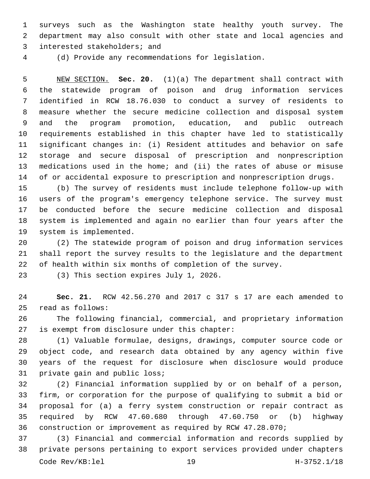surveys such as the Washington state healthy youth survey. The department may also consult with other state and local agencies and 3 interested stakeholders; and

(d) Provide any recommendations for legislation.

 NEW SECTION. **Sec. 20.** (1)(a) The department shall contract with the statewide program of poison and drug information services identified in RCW 18.76.030 to conduct a survey of residents to measure whether the secure medicine collection and disposal system and the program promotion, education, and public outreach requirements established in this chapter have led to statistically significant changes in: (i) Resident attitudes and behavior on safe storage and secure disposal of prescription and nonprescription medications used in the home; and (ii) the rates of abuse or misuse of or accidental exposure to prescription and nonprescription drugs.

 (b) The survey of residents must include telephone follow-up with users of the program's emergency telephone service. The survey must be conducted before the secure medicine collection and disposal system is implemented and again no earlier than four years after the 19 system is implemented.

 (2) The statewide program of poison and drug information services shall report the survey results to the legislature and the department of health within six months of completion of the survey.

23 (3) This section expires July 1, 2026.

 **Sec. 21.** RCW 42.56.270 and 2017 c 317 s 17 are each amended to read as follows:25

 The following financial, commercial, and proprietary information 27 is exempt from disclosure under this chapter:

 (1) Valuable formulae, designs, drawings, computer source code or object code, and research data obtained by any agency within five years of the request for disclosure when disclosure would produce 31 private gain and public loss;

 (2) Financial information supplied by or on behalf of a person, firm, or corporation for the purpose of qualifying to submit a bid or proposal for (a) a ferry system construction or repair contract as required by RCW 47.60.680 through 47.60.750 or (b) highway construction or improvement as required by RCW 47.28.070;

 (3) Financial and commercial information and records supplied by private persons pertaining to export services provided under chapters Code Rev/KB:lel 19 H-3752.1/18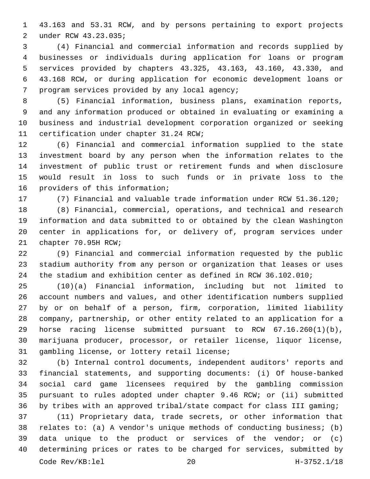43.163 and 53.31 RCW, and by persons pertaining to export projects under RCW 43.23.035;2

 (4) Financial and commercial information and records supplied by businesses or individuals during application for loans or program services provided by chapters 43.325, 43.163, 43.160, 43.330, and 43.168 RCW, or during application for economic development loans or 7 program services provided by any local agency;

 (5) Financial information, business plans, examination reports, and any information produced or obtained in evaluating or examining a business and industrial development corporation organized or seeking 11 certification under chapter 31.24 RCW;

 (6) Financial and commercial information supplied to the state investment board by any person when the information relates to the investment of public trust or retirement funds and when disclosure would result in loss to such funds or in private loss to the 16 providers of this information;

(7) Financial and valuable trade information under RCW 51.36.120;

 (8) Financial, commercial, operations, and technical and research information and data submitted to or obtained by the clean Washington center in applications for, or delivery of, program services under 21 chapter 70.95H RCW;

 (9) Financial and commercial information requested by the public stadium authority from any person or organization that leases or uses the stadium and exhibition center as defined in RCW 36.102.010;

 (10)(a) Financial information, including but not limited to account numbers and values, and other identification numbers supplied by or on behalf of a person, firm, corporation, limited liability company, partnership, or other entity related to an application for a horse racing license submitted pursuant to RCW 67.16.260(1)(b), marijuana producer, processor, or retailer license, liquor license, 31 gambling license, or lottery retail license;

 (b) Internal control documents, independent auditors' reports and financial statements, and supporting documents: (i) Of house-banked social card game licensees required by the gambling commission pursuant to rules adopted under chapter 9.46 RCW; or (ii) submitted by tribes with an approved tribal/state compact for class III gaming;

 (11) Proprietary data, trade secrets, or other information that relates to: (a) A vendor's unique methods of conducting business; (b) data unique to the product or services of the vendor; or (c) determining prices or rates to be charged for services, submitted by Code Rev/KB:lel 20 H-3752.1/18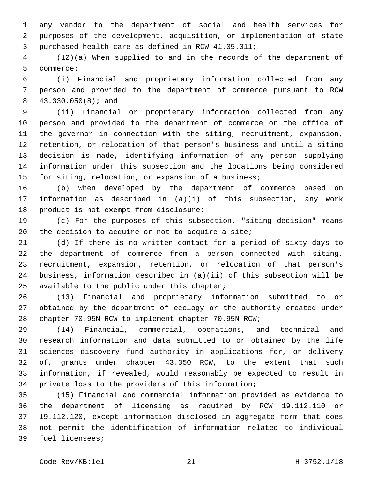any vendor to the department of social and health services for purposes of the development, acquisition, or implementation of state 3 purchased health care as defined in RCW 41.05.011;

 (12)(a) When supplied to and in the records of the department of 5 commerce:

 (i) Financial and proprietary information collected from any person and provided to the department of commerce pursuant to RCW 43.330.050(8); and8

 (ii) Financial or proprietary information collected from any person and provided to the department of commerce or the office of the governor in connection with the siting, recruitment, expansion, retention, or relocation of that person's business and until a siting decision is made, identifying information of any person supplying information under this subsection and the locations being considered for siting, relocation, or expansion of a business;

 (b) When developed by the department of commerce based on information as described in (a)(i) of this subsection, any work 18 product is not exempt from disclosure;

 (c) For the purposes of this subsection, "siting decision" means 20 the decision to acquire or not to acquire a site;

 (d) If there is no written contact for a period of sixty days to the department of commerce from a person connected with siting, recruitment, expansion, retention, or relocation of that person's business, information described in (a)(ii) of this subsection will be 25 available to the public under this chapter;

 (13) Financial and proprietary information submitted to or obtained by the department of ecology or the authority created under chapter 70.95N RCW to implement chapter 70.95N RCW;

 (14) Financial, commercial, operations, and technical and research information and data submitted to or obtained by the life sciences discovery fund authority in applications for, or delivery of, grants under chapter 43.350 RCW, to the extent that such information, if revealed, would reasonably be expected to result in private loss to the providers of this information;

 (15) Financial and commercial information provided as evidence to the department of licensing as required by RCW 19.112.110 or 19.112.120, except information disclosed in aggregate form that does not permit the identification of information related to individual 39 fuel licensees;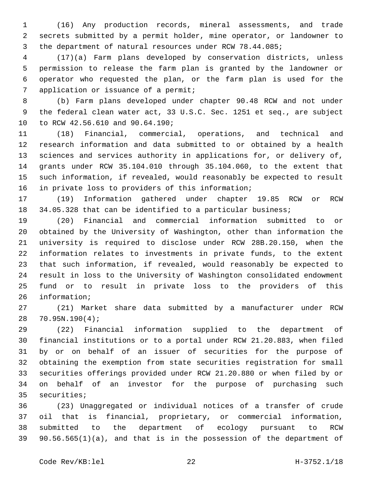(16) Any production records, mineral assessments, and trade secrets submitted by a permit holder, mine operator, or landowner to the department of natural resources under RCW 78.44.085;

 (17)(a) Farm plans developed by conservation districts, unless permission to release the farm plan is granted by the landowner or operator who requested the plan, or the farm plan is used for the 7 application or issuance of a permit;

 (b) Farm plans developed under chapter 90.48 RCW and not under the federal clean water act, 33 U.S.C. Sec. 1251 et seq., are subject 10 to RCW 42.56.610 and 90.64.190;

 (18) Financial, commercial, operations, and technical and research information and data submitted to or obtained by a health sciences and services authority in applications for, or delivery of, grants under RCW 35.104.010 through 35.104.060, to the extent that such information, if revealed, would reasonably be expected to result 16 in private loss to providers of this information;

 (19) Information gathered under chapter 19.85 RCW or RCW 18 34.05.328 that can be identified to a particular business;

 (20) Financial and commercial information submitted to or obtained by the University of Washington, other than information the university is required to disclose under RCW 28B.20.150, when the information relates to investments in private funds, to the extent that such information, if revealed, would reasonably be expected to result in loss to the University of Washington consolidated endowment fund or to result in private loss to the providers of this 26 information;

 (21) Market share data submitted by a manufacturer under RCW 70.95N.190(4);28

 (22) Financial information supplied to the department of financial institutions or to a portal under RCW 21.20.883, when filed by or on behalf of an issuer of securities for the purpose of obtaining the exemption from state securities registration for small securities offerings provided under RCW 21.20.880 or when filed by or on behalf of an investor for the purpose of purchasing such 35 securities;

 (23) Unaggregated or individual notices of a transfer of crude oil that is financial, proprietary, or commercial information, submitted to the department of ecology pursuant to RCW 90.56.565(1)(a), and that is in the possession of the department of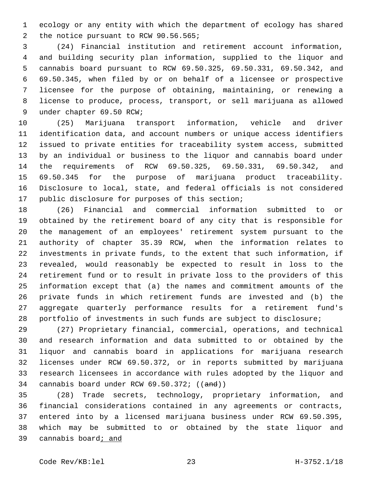ecology or any entity with which the department of ecology has shared 2 the notice pursuant to RCW 90.56.565;

 (24) Financial institution and retirement account information, and building security plan information, supplied to the liquor and cannabis board pursuant to RCW 69.50.325, 69.50.331, 69.50.342, and 69.50.345, when filed by or on behalf of a licensee or prospective licensee for the purpose of obtaining, maintaining, or renewing a license to produce, process, transport, or sell marijuana as allowed 9 under chapter 69.50 RCW;

 (25) Marijuana transport information, vehicle and driver identification data, and account numbers or unique access identifiers issued to private entities for traceability system access, submitted by an individual or business to the liquor and cannabis board under the requirements of RCW 69.50.325, 69.50.331, 69.50.342, and 69.50.345 for the purpose of marijuana product traceability. Disclosure to local, state, and federal officials is not considered 17 public disclosure for purposes of this section;

 (26) Financial and commercial information submitted to or obtained by the retirement board of any city that is responsible for the management of an employees' retirement system pursuant to the authority of chapter 35.39 RCW, when the information relates to investments in private funds, to the extent that such information, if revealed, would reasonably be expected to result in loss to the retirement fund or to result in private loss to the providers of this information except that (a) the names and commitment amounts of the private funds in which retirement funds are invested and (b) the aggregate quarterly performance results for a retirement fund's portfolio of investments in such funds are subject to disclosure;

 (27) Proprietary financial, commercial, operations, and technical and research information and data submitted to or obtained by the liquor and cannabis board in applications for marijuana research licenses under RCW 69.50.372, or in reports submitted by marijuana research licensees in accordance with rules adopted by the liquor and cannabis board under RCW 69.50.372; ((and))

 (28) Trade secrets, technology, proprietary information, and financial considerations contained in any agreements or contracts, entered into by a licensed marijuana business under RCW 69.50.395, which may be submitted to or obtained by the state liquor and 39 cannabis board<sub>i</sub> and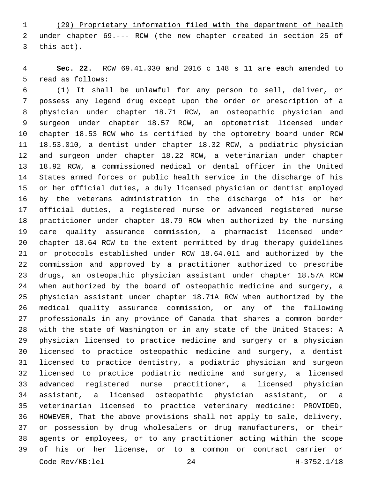(29) Proprietary information filed with the department of health under chapter 69.--- RCW (the new chapter created in section 25 of 3 this act).

 **Sec. 22.** RCW 69.41.030 and 2016 c 148 s 11 are each amended to 5 read as follows:

 (1) It shall be unlawful for any person to sell, deliver, or possess any legend drug except upon the order or prescription of a physician under chapter 18.71 RCW, an osteopathic physician and surgeon under chapter 18.57 RCW, an optometrist licensed under chapter 18.53 RCW who is certified by the optometry board under RCW 18.53.010, a dentist under chapter 18.32 RCW, a podiatric physician and surgeon under chapter 18.22 RCW, a veterinarian under chapter 18.92 RCW, a commissioned medical or dental officer in the United States armed forces or public health service in the discharge of his or her official duties, a duly licensed physician or dentist employed by the veterans administration in the discharge of his or her official duties, a registered nurse or advanced registered nurse practitioner under chapter 18.79 RCW when authorized by the nursing care quality assurance commission, a pharmacist licensed under chapter 18.64 RCW to the extent permitted by drug therapy guidelines or protocols established under RCW 18.64.011 and authorized by the commission and approved by a practitioner authorized to prescribe drugs, an osteopathic physician assistant under chapter 18.57A RCW when authorized by the board of osteopathic medicine and surgery, a physician assistant under chapter 18.71A RCW when authorized by the medical quality assurance commission, or any of the following professionals in any province of Canada that shares a common border with the state of Washington or in any state of the United States: A physician licensed to practice medicine and surgery or a physician licensed to practice osteopathic medicine and surgery, a dentist licensed to practice dentistry, a podiatric physician and surgeon licensed to practice podiatric medicine and surgery, a licensed advanced registered nurse practitioner, a licensed physician assistant, a licensed osteopathic physician assistant, or a veterinarian licensed to practice veterinary medicine: PROVIDED, HOWEVER, That the above provisions shall not apply to sale, delivery, or possession by drug wholesalers or drug manufacturers, or their agents or employees, or to any practitioner acting within the scope of his or her license, or to a common or contract carrier or Code Rev/KB:lel 24 H-3752.1/18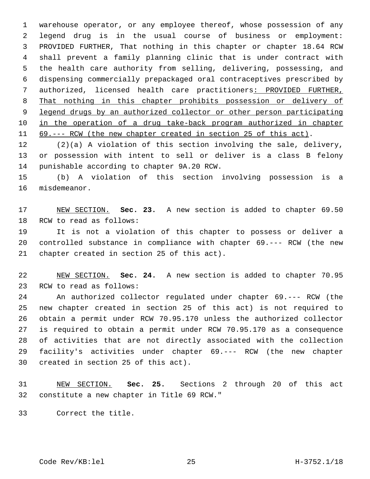warehouse operator, or any employee thereof, whose possession of any legend drug is in the usual course of business or employment: PROVIDED FURTHER, That nothing in this chapter or chapter 18.64 RCW shall prevent a family planning clinic that is under contract with the health care authority from selling, delivering, possessing, and dispensing commercially prepackaged oral contraceptives prescribed by authorized, licensed health care practitioners: PROVIDED FURTHER, That nothing in this chapter prohibits possession or delivery of legend drugs by an authorized collector or other person participating in the operation of a drug take-back program authorized in chapter 69.--- RCW (the new chapter created in section 25 of this act).

 (2)(a) A violation of this section involving the sale, delivery, or possession with intent to sell or deliver is a class B felony 14 punishable according to chapter 9A.20 RCW.

 (b) A violation of this section involving possession is a 16 misdemeanor.

 NEW SECTION. **Sec. 23.** A new section is added to chapter 69.50 18 RCW to read as follows:

 It is not a violation of this chapter to possess or deliver a controlled substance in compliance with chapter 69.--- RCW (the new 21 chapter created in section 25 of this act).

 NEW SECTION. **Sec. 24.** A new section is added to chapter 70.95 23 RCW to read as follows:

 An authorized collector regulated under chapter 69.--- RCW (the new chapter created in section 25 of this act) is not required to obtain a permit under RCW 70.95.170 unless the authorized collector is required to obtain a permit under RCW 70.95.170 as a consequence of activities that are not directly associated with the collection facility's activities under chapter 69.--- RCW (the new chapter 30 created in section 25 of this act).

 NEW SECTION. **Sec. 25.** Sections 2 through 20 of this act constitute a new chapter in Title 69 RCW."

33 Correct the title.